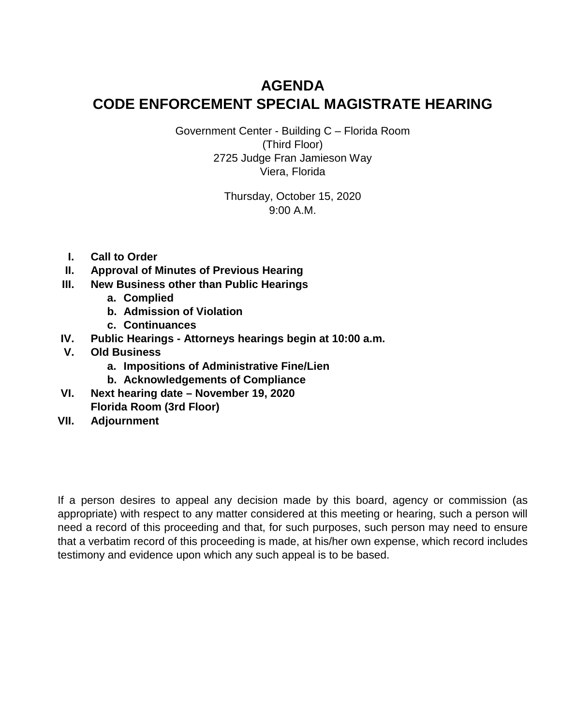# **AGENDA CODE ENFORCEMENT SPECIAL MAGISTRATE HEARING**

Government Center - Building C – Florida Room (Third Floor) 2725 Judge Fran Jamieson Way Viera, Florida

> Thursday, October 15, 2020 9:00 A.M.

- **I. Call to Order**
- **II. Approval of Minutes of Previous Hearing**
- **III. New Business other than Public Hearings**
	- **a. Complied**
	- **b. Admission of Violation**
	- **c. Continuances**
- **IV. Public Hearings - Attorneys hearings begin at 10:00 a.m.**
- **V. Old Business**
	- **a. Impositions of Administrative Fine/Lien**
	- **b. Acknowledgements of Compliance**
- **VI. Next hearing date – November 19, 2020 Florida Room (3rd Floor)**
- **VII. Adjournment**

If a person desires to appeal any decision made by this board, agency or commission (as appropriate) with respect to any matter considered at this meeting or hearing, such a person will need a record of this proceeding and that, for such purposes, such person may need to ensure that a verbatim record of this proceeding is made, at his/her own expense, which record includes testimony and evidence upon which any such appeal is to be based.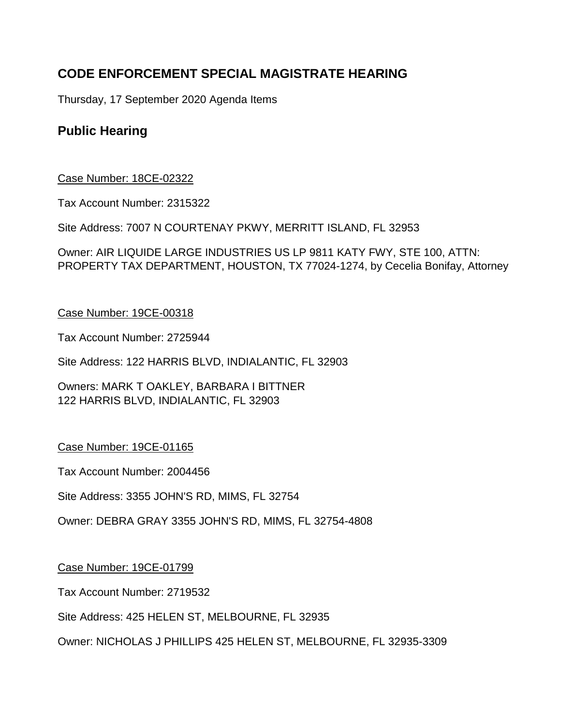## **CODE ENFORCEMENT SPECIAL MAGISTRATE HEARING**

Thursday, 17 September 2020 Agenda Items

## **Public Hearing**

## Case Number: 18CE-02322

Tax Account Number: 2315322

Site Address: 7007 N COURTENAY PKWY, MERRITT ISLAND, FL 32953

Owner: AIR LIQUIDE LARGE INDUSTRIES US LP 9811 KATY FWY, STE 100, ATTN: PROPERTY TAX DEPARTMENT, HOUSTON, TX 77024-1274, by Cecelia Bonifay, Attorney

## Case Number: 19CE-00318

Tax Account Number: 2725944

Site Address: 122 HARRIS BLVD, INDIALANTIC, FL 32903

Owners: MARK T OAKLEY, BARBARA I BITTNER 122 HARRIS BLVD, INDIALANTIC, FL 32903

## Case Number: 19CE-01165

Tax Account Number: 2004456

Site Address: 3355 JOHN'S RD, MIMS, FL 32754

Owner: DEBRA GRAY 3355 JOHN'S RD, MIMS, FL 32754-4808

## Case Number: 19CE-01799

Tax Account Number: 2719532

Site Address: 425 HELEN ST, MELBOURNE, FL 32935

Owner: NICHOLAS J PHILLIPS 425 HELEN ST, MELBOURNE, FL 32935-3309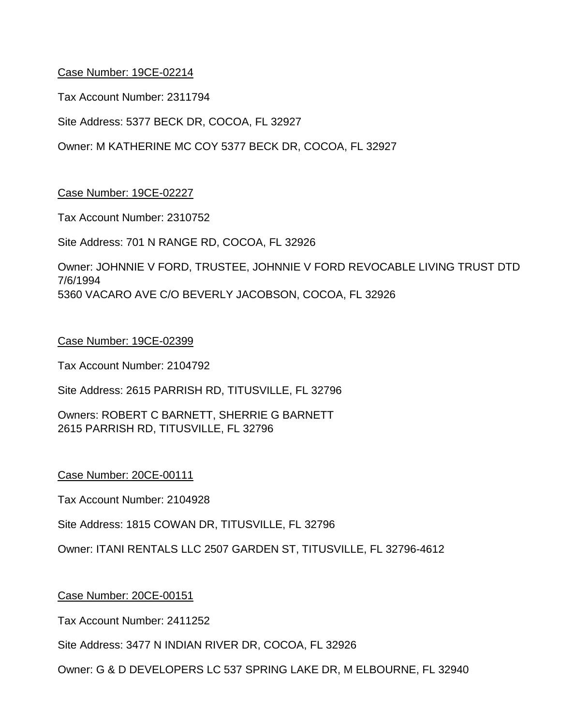## Case Number: 19CE-02214

Tax Account Number: 2311794

Site Address: 5377 BECK DR, COCOA, FL 32927

Owner: M KATHERINE MC COY 5377 BECK DR, COCOA, FL 32927

#### Case Number: 19CE-02227

Tax Account Number: 2310752

Site Address: 701 N RANGE RD, COCOA, FL 32926

Owner: JOHNNIE V FORD, TRUSTEE, JOHNNIE V FORD REVOCABLE LIVING TRUST DTD 7/6/1994 5360 VACARO AVE C/O BEVERLY JACOBSON, COCOA, FL 32926

#### Case Number: 19CE-02399

Tax Account Number: 2104792

Site Address: 2615 PARRISH RD, TITUSVILLE, FL 32796

Owners: ROBERT C BARNETT, SHERRIE G BARNETT 2615 PARRISH RD, TITUSVILLE, FL 32796

#### Case Number: 20CE-00111

Tax Account Number: 2104928

Site Address: 1815 COWAN DR, TITUSVILLE, FL 32796

Owner: ITANI RENTALS LLC 2507 GARDEN ST, TITUSVILLE, FL 32796-4612

#### Case Number: 20CE-00151

Tax Account Number: 2411252

Site Address: 3477 N INDIAN RIVER DR, COCOA, FL 32926

Owner: G & D DEVELOPERS LC 537 SPRING LAKE DR, M ELBOURNE, FL 32940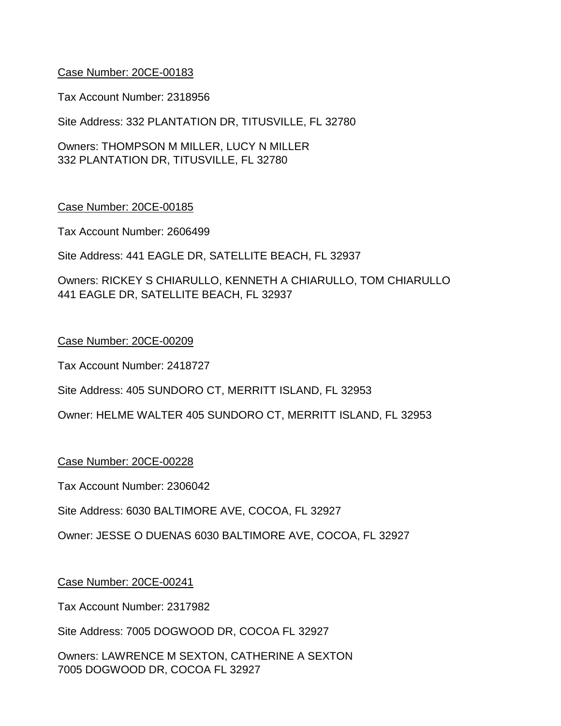Tax Account Number: 2318956

Site Address: 332 PLANTATION DR, TITUSVILLE, FL 32780

Owners: THOMPSON M MILLER, LUCY N MILLER 332 PLANTATION DR, TITUSVILLE, FL 32780

#### Case Number: 20CE-00185

Tax Account Number: 2606499

Site Address: 441 EAGLE DR, SATELLITE BEACH, FL 32937

Owners: RICKEY S CHIARULLO, KENNETH A CHIARULLO, TOM CHIARULLO 441 EAGLE DR, SATELLITE BEACH, FL 32937

#### Case Number: 20CE-00209

Tax Account Number: 2418727

Site Address: 405 SUNDORO CT, MERRITT ISLAND, FL 32953

Owner: HELME WALTER 405 SUNDORO CT, MERRITT ISLAND, FL 32953

#### Case Number: 20CE-00228

Tax Account Number: 2306042

Site Address: 6030 BALTIMORE AVE, COCOA, FL 32927

Owner: JESSE O DUENAS 6030 BALTIMORE AVE, COCOA, FL 32927

#### Case Number: 20CE-00241

Tax Account Number: 2317982

Site Address: 7005 DOGWOOD DR, COCOA FL 32927

Owners: LAWRENCE M SEXTON, CATHERINE A SEXTON 7005 DOGWOOD DR, COCOA FL 32927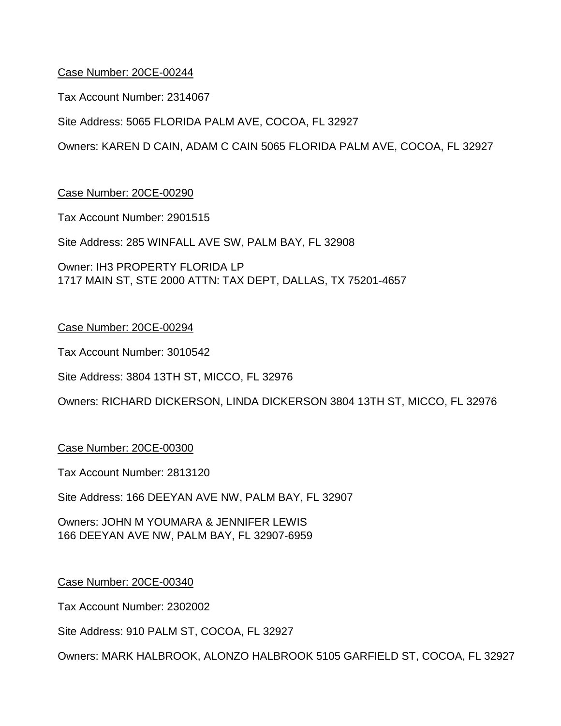Tax Account Number: 2314067

Site Address: 5065 FLORIDA PALM AVE, COCOA, FL 32927

Owners: KAREN D CAIN, ADAM C CAIN 5065 FLORIDA PALM AVE, COCOA, FL 32927

## Case Number: 20CE-00290

Tax Account Number: 2901515

Site Address: 285 WINFALL AVE SW, PALM BAY, FL 32908

Owner: IH3 PROPERTY FLORIDA LP 1717 MAIN ST, STE 2000 ATTN: TAX DEPT, DALLAS, TX 75201-4657

## Case Number: 20CE-00294

Tax Account Number: 3010542

Site Address: 3804 13TH ST, MICCO, FL 32976

Owners: RICHARD DICKERSON, LINDA DICKERSON 3804 13TH ST, MICCO, FL 32976

## Case Number: 20CE-00300

Tax Account Number: 2813120

Site Address: 166 DEEYAN AVE NW, PALM BAY, FL 32907

Owners: JOHN M YOUMARA & JENNIFER LEWIS 166 DEEYAN AVE NW, PALM BAY, FL 32907-6959

## Case Number: 20CE-00340

Tax Account Number: 2302002

Site Address: 910 PALM ST, COCOA, FL 32927

Owners: MARK HALBROOK, ALONZO HALBROOK 5105 GARFIELD ST, COCOA, FL 32927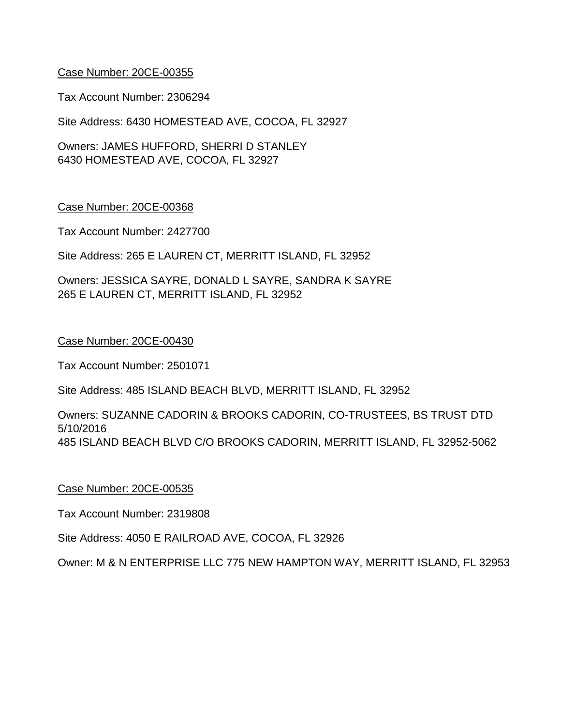Tax Account Number: 2306294

Site Address: 6430 HOMESTEAD AVE, COCOA, FL 32927

Owners: JAMES HUFFORD, SHERRI D STANLEY 6430 HOMESTEAD AVE, COCOA, FL 32927

#### Case Number: 20CE-00368

Tax Account Number: 2427700

Site Address: 265 E LAUREN CT, MERRITT ISLAND, FL 32952

Owners: JESSICA SAYRE, DONALD L SAYRE, SANDRA K SAYRE 265 E LAUREN CT, MERRITT ISLAND, FL 32952

#### Case Number: 20CE-00430

Tax Account Number: 2501071

Site Address: 485 ISLAND BEACH BLVD, MERRITT ISLAND, FL 32952

Owners: SUZANNE CADORIN & BROOKS CADORIN, CO-TRUSTEES, BS TRUST DTD 5/10/2016 485 ISLAND BEACH BLVD C/O BROOKS CADORIN, MERRITT ISLAND, FL 32952-5062

#### Case Number: 20CE-00535

Tax Account Number: 2319808

Site Address: 4050 E RAILROAD AVE, COCOA, FL 32926

Owner: M & N ENTERPRISE LLC 775 NEW HAMPTON WAY, MERRITT ISLAND, FL 32953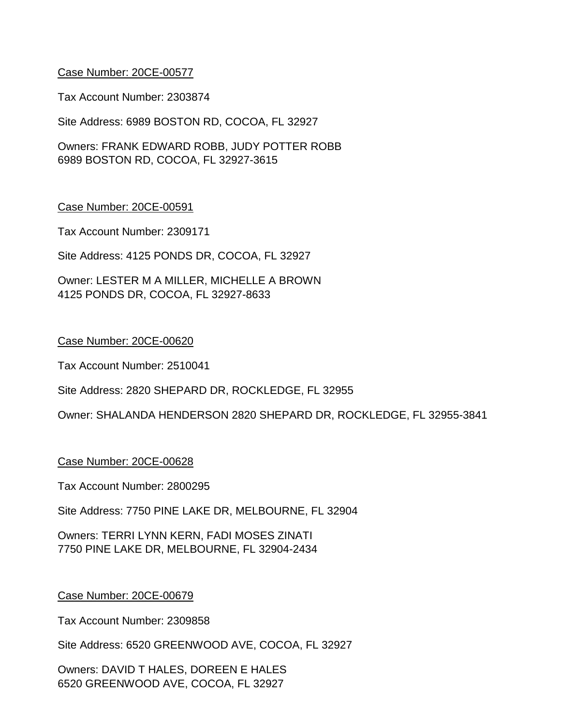Tax Account Number: 2303874

Site Address: 6989 BOSTON RD, COCOA, FL 32927

Owners: FRANK EDWARD ROBB, JUDY POTTER ROBB 6989 BOSTON RD, COCOA, FL 32927-3615

#### Case Number: 20CE-00591

Tax Account Number: 2309171

Site Address: 4125 PONDS DR, COCOA, FL 32927

Owner: LESTER M A MILLER, MICHELLE A BROWN 4125 PONDS DR, COCOA, FL 32927-8633

#### Case Number: 20CE-00620

Tax Account Number: 2510041

Site Address: 2820 SHEPARD DR, ROCKLEDGE, FL 32955

Owner: SHALANDA HENDERSON 2820 SHEPARD DR, ROCKLEDGE, FL 32955-3841

#### Case Number: 20CE-00628

Tax Account Number: 2800295

Site Address: 7750 PINE LAKE DR, MELBOURNE, FL 32904

Owners: TERRI LYNN KERN, FADI MOSES ZINATI 7750 PINE LAKE DR, MELBOURNE, FL 32904-2434

#### Case Number: 20CE-00679

Tax Account Number: 2309858

Site Address: 6520 GREENWOOD AVE, COCOA, FL 32927

Owners: DAVID T HALES, DOREEN E HALES 6520 GREENWOOD AVE, COCOA, FL 32927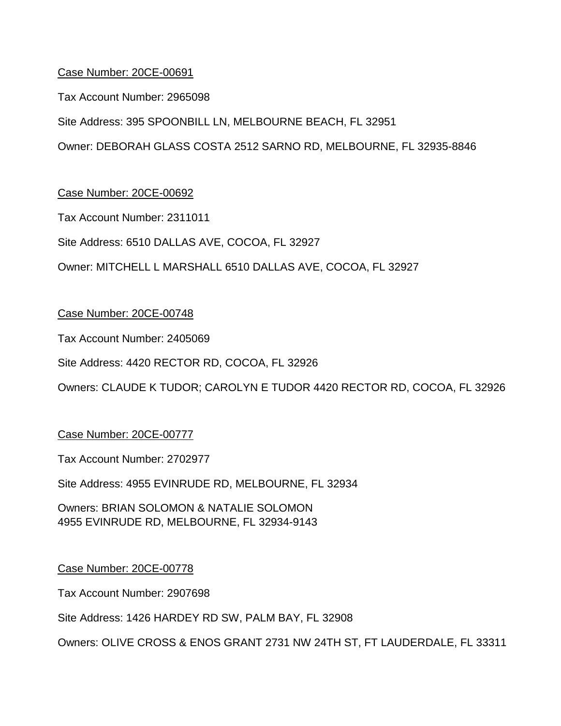Tax Account Number: 2965098

Site Address: 395 SPOONBILL LN, MELBOURNE BEACH, FL 32951

Owner: DEBORAH GLASS COSTA 2512 SARNO RD, MELBOURNE, FL 32935-8846

## Case Number: 20CE-00692

Tax Account Number: 2311011

Site Address: 6510 DALLAS AVE, COCOA, FL 32927

Owner: MITCHELL L MARSHALL 6510 DALLAS AVE, COCOA, FL 32927

## Case Number: 20CE-00748

Tax Account Number: 2405069

Site Address: 4420 RECTOR RD, COCOA, FL 32926

Owners: CLAUDE K TUDOR; CAROLYN E TUDOR 4420 RECTOR RD, COCOA, FL 32926

## Case Number: 20CE-00777

Tax Account Number: 2702977

Site Address: 4955 EVINRUDE RD, MELBOURNE, FL 32934

Owners: BRIAN SOLOMON & NATALIE SOLOMON 4955 EVINRUDE RD, MELBOURNE, FL 32934-9143

## Case Number: 20CE-00778

Tax Account Number: 2907698

Site Address: 1426 HARDEY RD SW, PALM BAY, FL 32908

Owners: OLIVE CROSS & ENOS GRANT 2731 NW 24TH ST, FT LAUDERDALE, FL 33311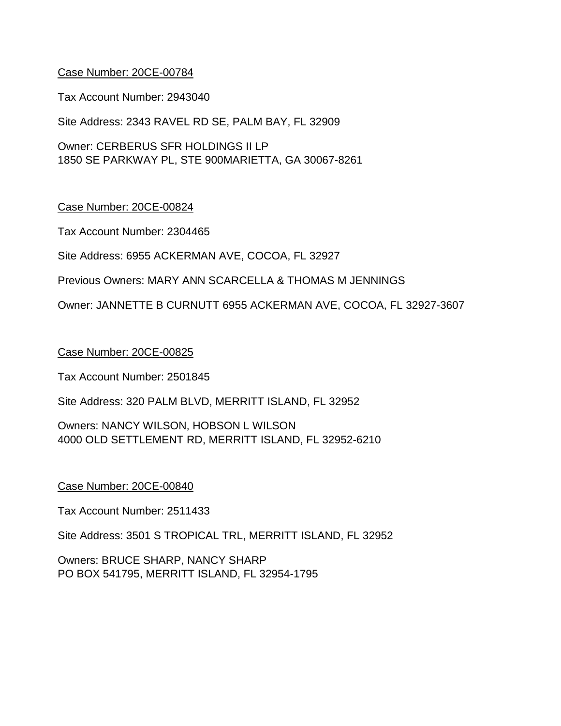Tax Account Number: 2943040

Site Address: 2343 RAVEL RD SE, PALM BAY, FL 32909

Owner: CERBERUS SFR HOLDINGS II LP 1850 SE PARKWAY PL, STE 900MARIETTA, GA 30067-8261

#### Case Number: 20CE-00824

Tax Account Number: 2304465

Site Address: 6955 ACKERMAN AVE, COCOA, FL 32927

Previous Owners: MARY ANN SCARCELLA & THOMAS M JENNINGS

Owner: JANNETTE B CURNUTT 6955 ACKERMAN AVE, COCOA, FL 32927-3607

#### Case Number: 20CE-00825

Tax Account Number: 2501845

Site Address: 320 PALM BLVD, MERRITT ISLAND, FL 32952

Owners: NANCY WILSON, HOBSON L WILSON 4000 OLD SETTLEMENT RD, MERRITT ISLAND, FL 32952-6210

#### Case Number: 20CE-00840

Tax Account Number: 2511433

Site Address: 3501 S TROPICAL TRL, MERRITT ISLAND, FL 32952

Owners: BRUCE SHARP, NANCY SHARP PO BOX 541795, MERRITT ISLAND, FL 32954-1795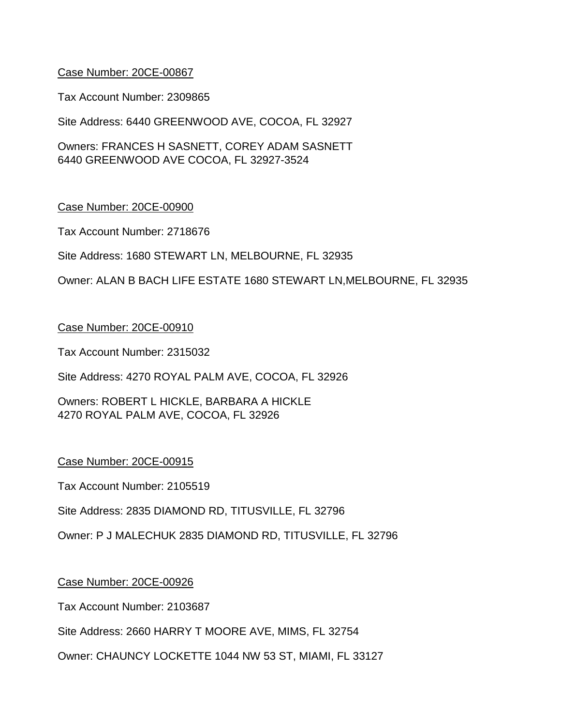Tax Account Number: 2309865

Site Address: 6440 GREENWOOD AVE, COCOA, FL 32927

Owners: FRANCES H SASNETT, COREY ADAM SASNETT 6440 GREENWOOD AVE COCOA, FL 32927-3524

#### Case Number: 20CE-00900

Tax Account Number: 2718676

Site Address: 1680 STEWART LN, MELBOURNE, FL 32935

Owner: ALAN B BACH LIFE ESTATE 1680 STEWART LN,MELBOURNE, FL 32935

#### Case Number: 20CE-00910

Tax Account Number: 2315032

Site Address: 4270 ROYAL PALM AVE, COCOA, FL 32926

Owners: ROBERT L HICKLE, BARBARA A HICKLE 4270 ROYAL PALM AVE, COCOA, FL 32926

#### Case Number: 20CE-00915

Tax Account Number: 2105519

Site Address: 2835 DIAMOND RD, TITUSVILLE, FL 32796

Owner: P J MALECHUK 2835 DIAMOND RD, TITUSVILLE, FL 32796

#### Case Number: 20CE-00926

Tax Account Number: 2103687

Site Address: 2660 HARRY T MOORE AVE, MIMS, FL 32754

Owner: CHAUNCY LOCKETTE 1044 NW 53 ST, MIAMI, FL 33127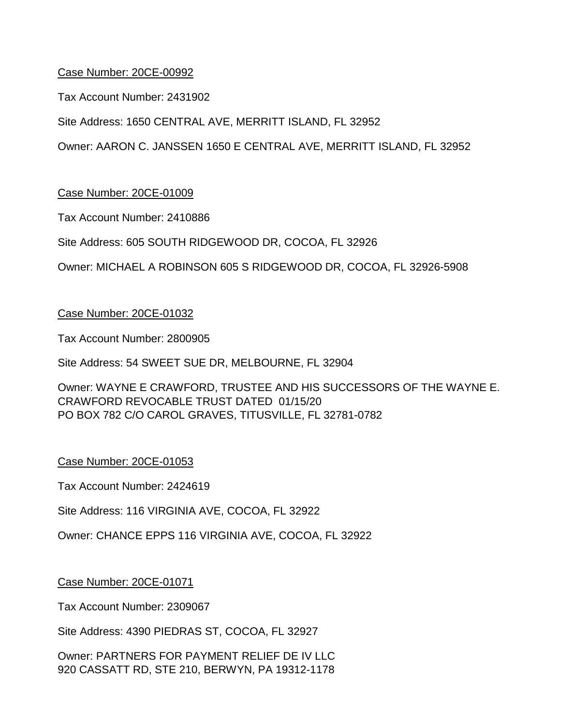Tax Account Number: 2431902

Site Address: 1650 CENTRAL AVE, MERRITT ISLAND, FL 32952

Owner: AARON C. JANSSEN 1650 E CENTRAL AVE, MERRITT ISLAND, FL 32952

## Case Number: 20CE-01009

Tax Account Number: 2410886

Site Address: 605 SOUTH RIDGEWOOD DR, COCOA, FL 32926

Owner: MICHAEL A ROBINSON 605 S RIDGEWOOD DR, COCOA, FL 32926-5908

## Case Number: 20CE-01032

Tax Account Number: 2800905

Site Address: 54 SWEET SUE DR, MELBOURNE, FL 32904

Owner: WAYNE E CRAWFORD, TRUSTEE AND HIS SUCCESSORS OF THE WAYNE E. CRAWFORD REVOCABLE TRUST DATED 01/15/20 PO BOX 782 C/O CAROL GRAVES, TITUSVILLE, FL 32781-0782

## Case Number: 20CE-01053

Tax Account Number: 2424619

Site Address: 116 VIRGINIA AVE, COCOA, FL 32922

Owner: CHANCE EPPS 116 VIRGINIA AVE, COCOA, FL 32922

## Case Number: 20CE-01071

Tax Account Number: 2309067

Site Address: 4390 PIEDRAS ST, COCOA, FL 32927

Owner: PARTNERS FOR PAYMENT RELIEF DE IV LLC 920 CASSATT RD, STE 210, BERWYN, PA 19312-1178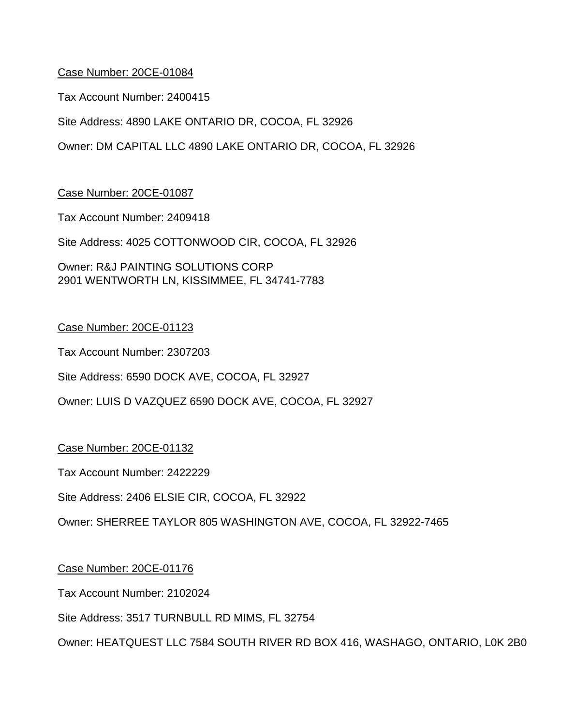Tax Account Number: 2400415

Site Address: 4890 LAKE ONTARIO DR, COCOA, FL 32926

Owner: DM CAPITAL LLC 4890 LAKE ONTARIO DR, COCOA, FL 32926

## Case Number: 20CE-01087

Tax Account Number: 2409418

Site Address: 4025 COTTONWOOD CIR, COCOA, FL 32926

Owner: R&J PAINTING SOLUTIONS CORP 2901 WENTWORTH LN, KISSIMMEE, FL 34741-7783

## Case Number: 20CE-01123

Tax Account Number: 2307203

Site Address: 6590 DOCK AVE, COCOA, FL 32927

Owner: LUIS D VAZQUEZ 6590 DOCK AVE, COCOA, FL 32927

## Case Number: 20CE-01132

Tax Account Number: 2422229

Site Address: 2406 ELSIE CIR, COCOA, FL 32922

Owner: SHERREE TAYLOR 805 WASHINGTON AVE, COCOA, FL 32922-7465

## Case Number: 20CE-01176

Tax Account Number: 2102024

Site Address: 3517 TURNBULL RD MIMS, FL 32754

Owner: HEATQUEST LLC 7584 SOUTH RIVER RD BOX 416, WASHAGO, ONTARIO, L0K 2B0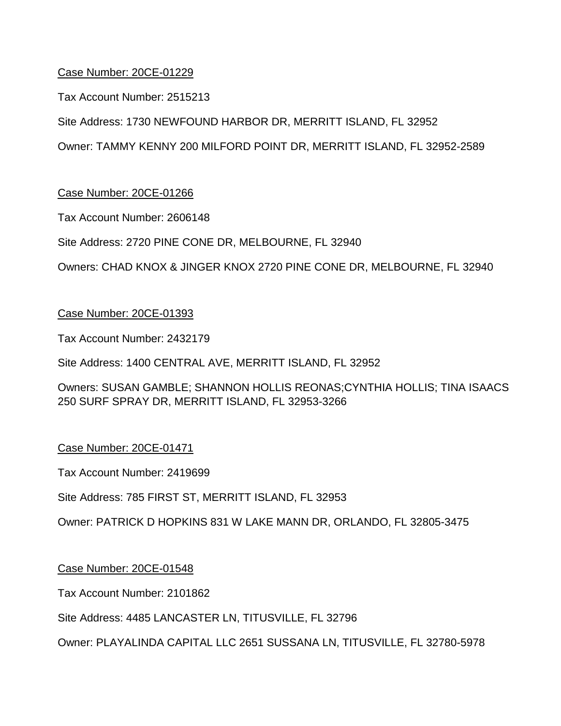Tax Account Number: 2515213

Site Address: 1730 NEWFOUND HARBOR DR, MERRITT ISLAND, FL 32952

Owner: TAMMY KENNY 200 MILFORD POINT DR, MERRITT ISLAND, FL 32952-2589

## Case Number: 20CE-01266

Tax Account Number: 2606148

Site Address: 2720 PINE CONE DR, MELBOURNE, FL 32940

Owners: CHAD KNOX & JINGER KNOX 2720 PINE CONE DR, MELBOURNE, FL 32940

## Case Number: 20CE-01393

Tax Account Number: 2432179

Site Address: 1400 CENTRAL AVE, MERRITT ISLAND, FL 32952

Owners: SUSAN GAMBLE; SHANNON HOLLIS REONAS;CYNTHIA HOLLIS; TINA ISAACS 250 SURF SPRAY DR, MERRITT ISLAND, FL 32953-3266

## Case Number: 20CE-01471

Tax Account Number: 2419699

Site Address: 785 FIRST ST, MERRITT ISLAND, FL 32953

Owner: PATRICK D HOPKINS 831 W LAKE MANN DR, ORLANDO, FL 32805-3475

## Case Number: 20CE-01548

Tax Account Number: 2101862

Site Address: 4485 LANCASTER LN, TITUSVILLE, FL 32796

Owner: PLAYALINDA CAPITAL LLC 2651 SUSSANA LN, TITUSVILLE, FL 32780-5978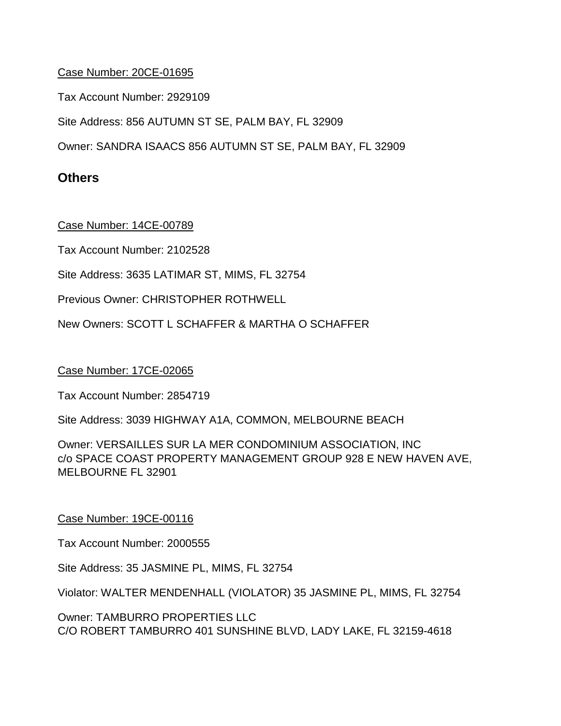Tax Account Number: 2929109

Site Address: 856 AUTUMN ST SE, PALM BAY, FL 32909

Owner: SANDRA ISAACS 856 AUTUMN ST SE, PALM BAY, FL 32909

## **Others**

Case Number: 14CE-00789

Tax Account Number: 2102528

Site Address: 3635 LATIMAR ST, MIMS, FL 32754

Previous Owner: CHRISTOPHER ROTHWELL

New Owners: SCOTT L SCHAFFER & MARTHA O SCHAFFER

## Case Number: 17CE-02065

Tax Account Number: 2854719

Site Address: 3039 HIGHWAY A1A, COMMON, MELBOURNE BEACH

Owner: VERSAILLES SUR LA MER CONDOMINIUM ASSOCIATION, INC c/o SPACE COAST PROPERTY MANAGEMENT GROUP 928 E NEW HAVEN AVE, MELBOURNE FL 32901

## Case Number: 19CE-00116

Tax Account Number: 2000555

Site Address: 35 JASMINE PL, MIMS, FL 32754

Violator: WALTER MENDENHALL (VIOLATOR) 35 JASMINE PL, MIMS, FL 32754

Owner: TAMBURRO PROPERTIES LLC C/O ROBERT TAMBURRO 401 SUNSHINE BLVD, LADY LAKE, FL 32159-4618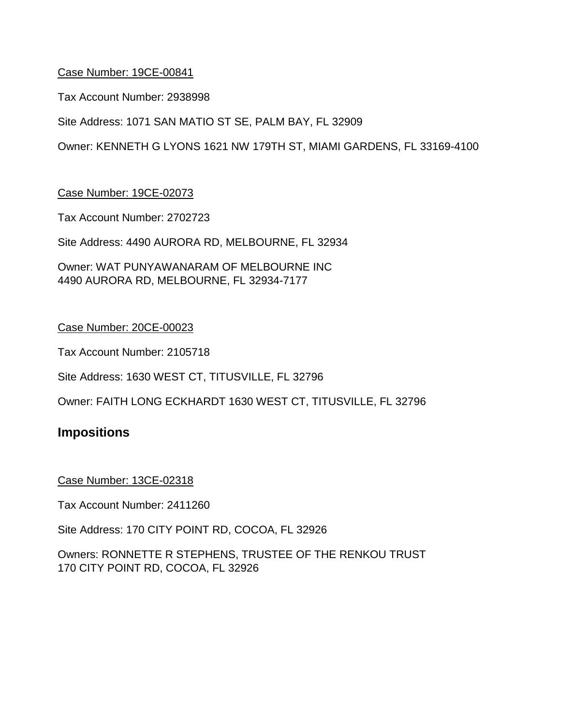## Case Number: 19CE-00841

Tax Account Number: 2938998

Site Address: 1071 SAN MATIO ST SE, PALM BAY, FL 32909

Owner: KENNETH G LYONS 1621 NW 179TH ST, MIAMI GARDENS, FL 33169-4100

## Case Number: 19CE-02073

Tax Account Number: 2702723

Site Address: 4490 AURORA RD, MELBOURNE, FL 32934

Owner: WAT PUNYAWANARAM OF MELBOURNE INC 4490 AURORA RD, MELBOURNE, FL 32934-7177

## Case Number: 20CE-00023

Tax Account Number: 2105718

Site Address: 1630 WEST CT, TITUSVILLE, FL 32796

Owner: FAITH LONG ECKHARDT 1630 WEST CT, TITUSVILLE, FL 32796

## **Impositions**

Case Number: 13CE-02318

Tax Account Number: 2411260

Site Address: 170 CITY POINT RD, COCOA, FL 32926

Owners: RONNETTE R STEPHENS, TRUSTEE OF THE RENKOU TRUST 170 CITY POINT RD, COCOA, FL 32926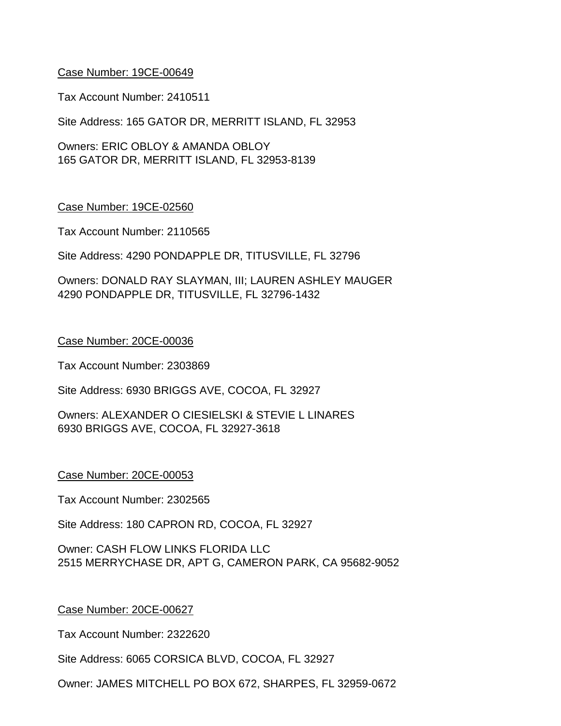#### Case Number: 19CE-00649

Tax Account Number: 2410511

Site Address: 165 GATOR DR, MERRITT ISLAND, FL 32953

Owners: ERIC OBLOY & AMANDA OBLOY 165 GATOR DR, MERRITT ISLAND, FL 32953-8139

#### Case Number: 19CE-02560

Tax Account Number: 2110565

Site Address: 4290 PONDAPPLE DR, TITUSVILLE, FL 32796

Owners: DONALD RAY SLAYMAN, III; LAUREN ASHLEY MAUGER 4290 PONDAPPLE DR, TITUSVILLE, FL 32796-1432

#### Case Number: 20CE-00036

Tax Account Number: 2303869

Site Address: 6930 BRIGGS AVE, COCOA, FL 32927

Owners: ALEXANDER O CIESIELSKI & STEVIE L LINARES 6930 BRIGGS AVE, COCOA, FL 32927-3618

#### Case Number: 20CE-00053

Tax Account Number: 2302565

Site Address: 180 CAPRON RD, COCOA, FL 32927

Owner: CASH FLOW LINKS FLORIDA LLC 2515 MERRYCHASE DR, APT G, CAMERON PARK, CA 95682-9052

Case Number: 20CE-00627

Tax Account Number: 2322620

Site Address: 6065 CORSICA BLVD, COCOA, FL 32927

Owner: JAMES MITCHELL PO BOX 672, SHARPES, FL 32959-0672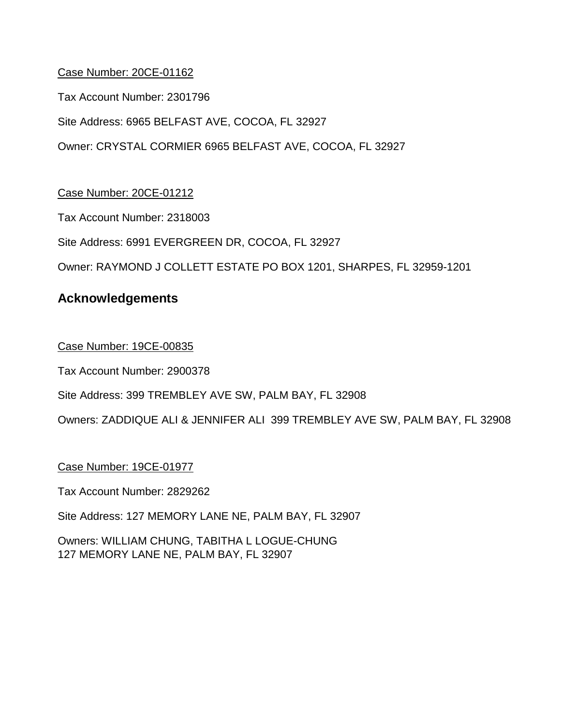Tax Account Number: 2301796

Site Address: 6965 BELFAST AVE, COCOA, FL 32927

Owner: CRYSTAL CORMIER 6965 BELFAST AVE, COCOA, FL 32927

## Case Number: 20CE-01212

Tax Account Number: 2318003

Site Address: 6991 EVERGREEN DR, COCOA, FL 32927

Owner: RAYMOND J COLLETT ESTATE PO BOX 1201, SHARPES, FL 32959-1201

## **Acknowledgements**

Case Number: 19CE-00835

Tax Account Number: 2900378

Site Address: 399 TREMBLEY AVE SW, PALM BAY, FL 32908

Owners: ZADDIQUE ALI & JENNIFER ALI 399 TREMBLEY AVE SW, PALM BAY, FL 32908

## Case Number: 19CE-01977

Tax Account Number: 2829262

Site Address: 127 MEMORY LANE NE, PALM BAY, FL 32907

Owners: WILLIAM CHUNG, TABITHA L LOGUE-CHUNG 127 MEMORY LANE NE, PALM BAY, FL 32907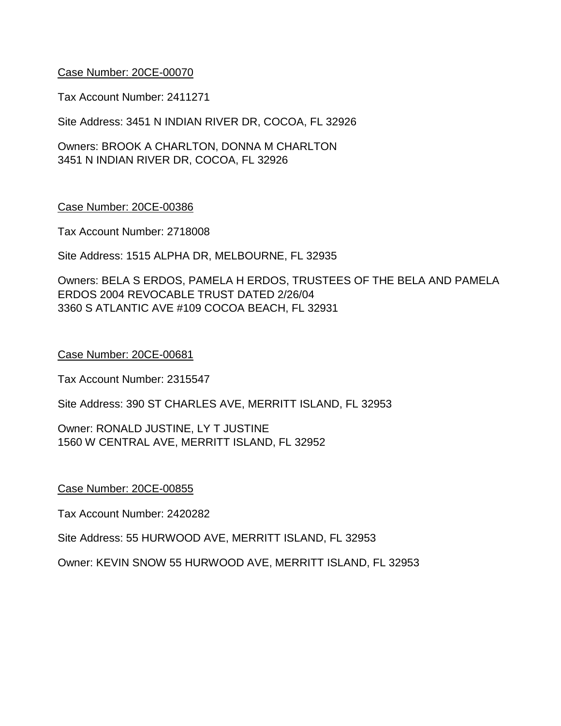Tax Account Number: 2411271

Site Address: 3451 N INDIAN RIVER DR, COCOA, FL 32926

Owners: BROOK A CHARLTON, DONNA M CHARLTON 3451 N INDIAN RIVER DR, COCOA, FL 32926

#### Case Number: 20CE-00386

Tax Account Number: 2718008

Site Address: 1515 ALPHA DR, MELBOURNE, FL 32935

Owners: BELA S ERDOS, PAMELA H ERDOS, TRUSTEES OF THE BELA AND PAMELA ERDOS 2004 REVOCABLE TRUST DATED 2/26/04 3360 S ATLANTIC AVE #109 COCOA BEACH, FL 32931

#### Case Number: 20CE-00681

Tax Account Number: 2315547

Site Address: 390 ST CHARLES AVE, MERRITT ISLAND, FL 32953

Owner: RONALD JUSTINE, LY T JUSTINE 1560 W CENTRAL AVE, MERRITT ISLAND, FL 32952

#### Case Number: 20CE-00855

Tax Account Number: 2420282

Site Address: 55 HURWOOD AVE, MERRITT ISLAND, FL 32953

Owner: KEVIN SNOW 55 HURWOOD AVE, MERRITT ISLAND, FL 32953